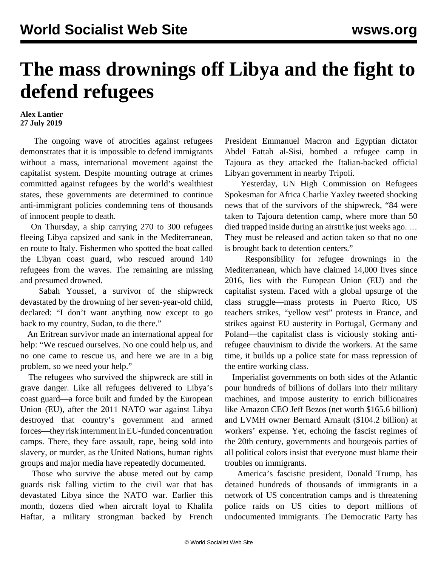## **The mass drownings off Libya and the fight to defend refugees**

## **Alex Lantier 27 July 2019**

 The ongoing wave of atrocities against refugees demonstrates that it is impossible to defend immigrants without a mass, international movement against the capitalist system. Despite mounting outrage at crimes committed against refugees by the world's wealthiest states, these governments are determined to continue anti-immigrant policies condemning tens of thousands of innocent people to death.

 On Thursday, a ship carrying 270 to 300 refugees fleeing Libya capsized and sank in the Mediterranean, en route to Italy. Fishermen who spotted the boat called the Libyan coast guard, who rescued around 140 refugees from the waves. The remaining are missing and presumed drowned.

 Sabah Youssef, a survivor of the shipwreck devastated by the drowning of her seven-year-old child, declared: "I don't want anything now except to go back to my country, Sudan, to die there."

 An Eritrean survivor made an international appeal for help: "We rescued ourselves. No one could help us, and no one came to rescue us, and here we are in a big problem, so we need your help."

 The refugees who survived the shipwreck are still in grave danger. Like all refugees delivered to Libya's coast guard—a force built and funded by the European Union (EU), after the 2011 NATO war against Libya destroyed that country's government and armed forces—they risk internment in EU-funded concentration camps. There, they face assault, rape, being sold into slavery, or murder, as the United Nations, human rights groups and major media have repeatedly documented.

 Those who survive the abuse meted out by camp guards risk falling victim to the civil war that has devastated Libya since the NATO war. Earlier this month, dozens died when aircraft loyal to Khalifa Haftar, a military strongman backed by French President Emmanuel Macron and Egyptian dictator Abdel Fattah al-Sisi, bombed a refugee camp in Tajoura as they attacked the Italian-backed official Libyan government in nearby Tripoli.

 Yesterday, UN High Commission on Refugees Spokesman for Africa Charlie Yaxley tweeted shocking news that of the survivors of the shipwreck, "84 were taken to Tajoura detention camp, where more than 50 died trapped inside during an airstrike just weeks ago. … They must be released and action taken so that no one is brought back to detention centers."

 Responsibility for refugee drownings in the Mediterranean, which have claimed 14,000 lives since 2016, lies with the European Union (EU) and the capitalist system. Faced with a global upsurge of the class struggle—mass protests in Puerto Rico, US teachers strikes, "yellow vest" protests in France, and strikes against EU austerity in Portugal, Germany and Poland—the capitalist class is viciously stoking antirefugee chauvinism to divide the workers. At the same time, it builds up a police state for mass repression of the entire working class.

 Imperialist governments on both sides of the Atlantic pour hundreds of billions of dollars into their military machines, and impose austerity to enrich billionaires like Amazon CEO Jeff Bezos (net worth \$165.6 billion) and LVMH owner Bernard Arnault (\$104.2 billion) at workers' expense. Yet, echoing the fascist regimes of the 20th century, governments and bourgeois parties of all political colors insist that everyone must blame their troubles on immigrants.

 America's fascistic president, Donald Trump, has detained hundreds of thousands of immigrants in a network of US concentration camps and is threatening police raids on US cities to deport millions of undocumented immigrants. The Democratic Party has